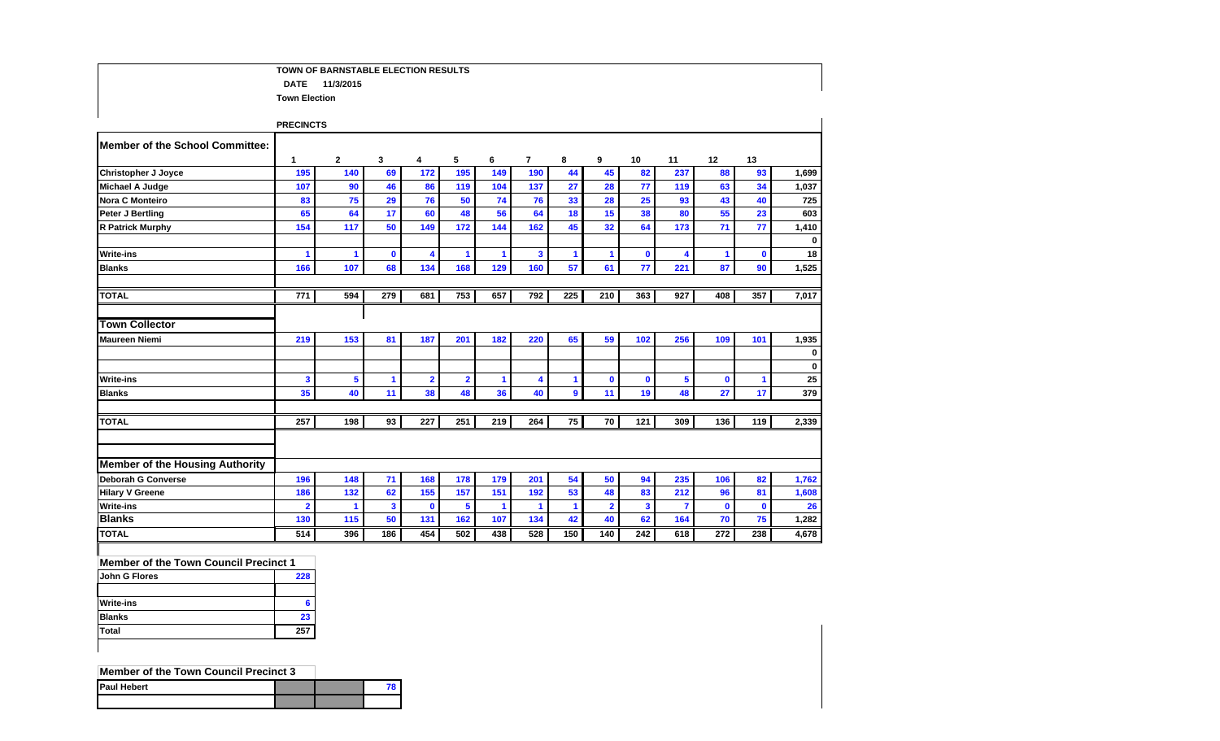## **TOWN OF BARNSTABLE ELECTION RESULTS DATE 11/3/2015 Town Election**

|                                        | <b>PRECINCTS</b> |              |              |                         |                         |     |                      |                      |                |              |                       |             |                      |                   |
|----------------------------------------|------------------|--------------|--------------|-------------------------|-------------------------|-----|----------------------|----------------------|----------------|--------------|-----------------------|-------------|----------------------|-------------------|
| <b>Member of the School Committee:</b> |                  |              |              |                         |                         |     |                      |                      |                |              |                       |             |                      |                   |
|                                        | 1                | $\mathbf{2}$ | 3            | 4                       | 5                       | 6   | $\overline{7}$       | 8                    | 9              | 10           | 11                    | 12          | 13                   |                   |
| <b>Christopher J Joyce</b>             | 195              | 140          | 69           | 172                     | 195                     | 149 | 190                  | 44                   | 45             | 82           | 237                   | 88          | 93                   | 1,699             |
| <b>Michael A Judge</b>                 | 107              | 90           | 46           | 86                      | 119                     | 104 | 137                  | 27                   | 28             | 77           | 119                   | 63          | 34                   | 1,037             |
| <b>Nora C Monteiro</b>                 | 83               | 75           | 29           | 76                      | 50                      | 74  | 76                   | 33                   | 28             | 25           | 93                    | 43          | 40                   | 725               |
| Peter J Bertling                       | 65               | 64           | 17           | 60                      | 48                      | 56  | 64                   | 18                   | 15             | 38           | 80                    | 55          | 23                   | 603               |
| <b>R Patrick Murphy</b>                | 154              | 117          | 50           | 149                     | 172                     | 144 | 162                  | 45                   | 32             | 64           | 173                   | 71          | 77                   | 1,410             |
| <b>Write-ins</b>                       | 1                | 1            | $\mathbf 0$  | 4                       | 1                       | 1   | 3 <sup>7</sup>       | $\blacktriangleleft$ | -1             | $\mathbf 0$  | $\boldsymbol{\Delta}$ | 1           | $\mathbf 0$          | $\mathbf 0$<br>18 |
| <b>Blanks</b>                          | 166              | 107          | 68           | 134                     | 168                     | 129 | 160                  | 57                   | 61             | 77           | 221                   | 87          | 90                   | 1,525             |
| <b>TOTAL</b>                           | 771              | 594          | 279          | 681                     | 753                     | 657 | 792                  | 225                  | 210            | 363          | 927                   | 408         | 357                  | 7,017             |
| <b>Town Collector</b>                  |                  |              |              |                         |                         |     |                      |                      |                |              |                       |             |                      |                   |
| <b>Maureen Niemi</b>                   | 219              | 153          | 81           | 187                     | 201                     | 182 | 220                  | 65                   | 59             | 102          | 256                   | 109         | 101                  | 1,935             |
|                                        |                  |              |              |                         |                         |     |                      |                      |                |              |                       |             |                      | $\mathbf 0$       |
|                                        |                  |              |              |                         |                         |     |                      |                      |                |              |                       |             |                      | $\mathbf 0$       |
| <b>Write-ins</b>                       | 3                | 5            | 1            | $\overline{\mathbf{2}}$ | $\overline{\mathbf{2}}$ | 1   | 4                    | $\blacktriangleleft$ | $\mathbf 0$    | $\mathbf{0}$ | 5                     | $\mathbf 0$ | $\blacktriangleleft$ | 25                |
| <b>Blanks</b>                          | 35               | 40           | 11           | 38                      | 48                      | 36  | 40                   | $\overline{9}$       | 11             | 19           | 48                    | 27          | 17                   | 379               |
| <b>TOTAL</b>                           | 257              | 198          | 93           | 227                     | 251                     | 219 | 264                  | 75                   | 70             | 121          | 309                   | 136         | 119                  | 2,339             |
|                                        |                  |              |              |                         |                         |     |                      |                      |                |              |                       |             |                      |                   |
| <b>Member of the Housing Authority</b> |                  |              |              |                         |                         |     |                      |                      |                |              |                       |             |                      |                   |
| Deborah G Converse                     | 196              | 148          | 71           | 168                     | 178                     | 179 | 201                  | 54                   | 50             | 94           | 235                   | 106         | 82                   | 1,762             |
| <b>Hilary V Greene</b>                 | 186              | 132          | 62           | 155                     | 157                     | 151 | 192                  | 53                   | 48             | 83           | 212                   | 96          | 81                   | 1,608             |
| <b>Write-ins</b>                       | $\overline{2}$   | 1            | $\mathbf{3}$ | $\mathbf{0}$            | 5                       | 1   | $\blacktriangleleft$ | -1                   | $\overline{2}$ | $\mathbf{3}$ | $\overline{7}$        | $\mathbf 0$ | $\mathbf{0}$         | 26                |
| <b>Blanks</b>                          | 130              | 115          | 50           | 131                     | 162                     | 107 | 134                  | 42                   | 40             | 62           | 164                   | 70          | 75                   | 1,282             |
| <b>TOTAL</b>                           | 514              | 396          | 186          | 454                     | 502                     | 438 | 528                  | 150                  | 140            | 242          | 618                   | 272         | 238                  | 4,678             |

### **Member of the Town Council Precinct 1**

| John G Flores    | 228 |
|------------------|-----|
| <b>Write-ins</b> |     |
| <b>Blanks</b>    | 23  |
| <b>Total</b>     | 257 |

# **Member of the Town Council Precinct 3**

|                    | ____ | . . |  | ____ | ____ | ____ |  |  |
|--------------------|------|-----|--|------|------|------|--|--|
| <b>Paul Hebert</b> |      |     |  |      |      |      |  |  |
|                    |      |     |  |      |      |      |  |  |